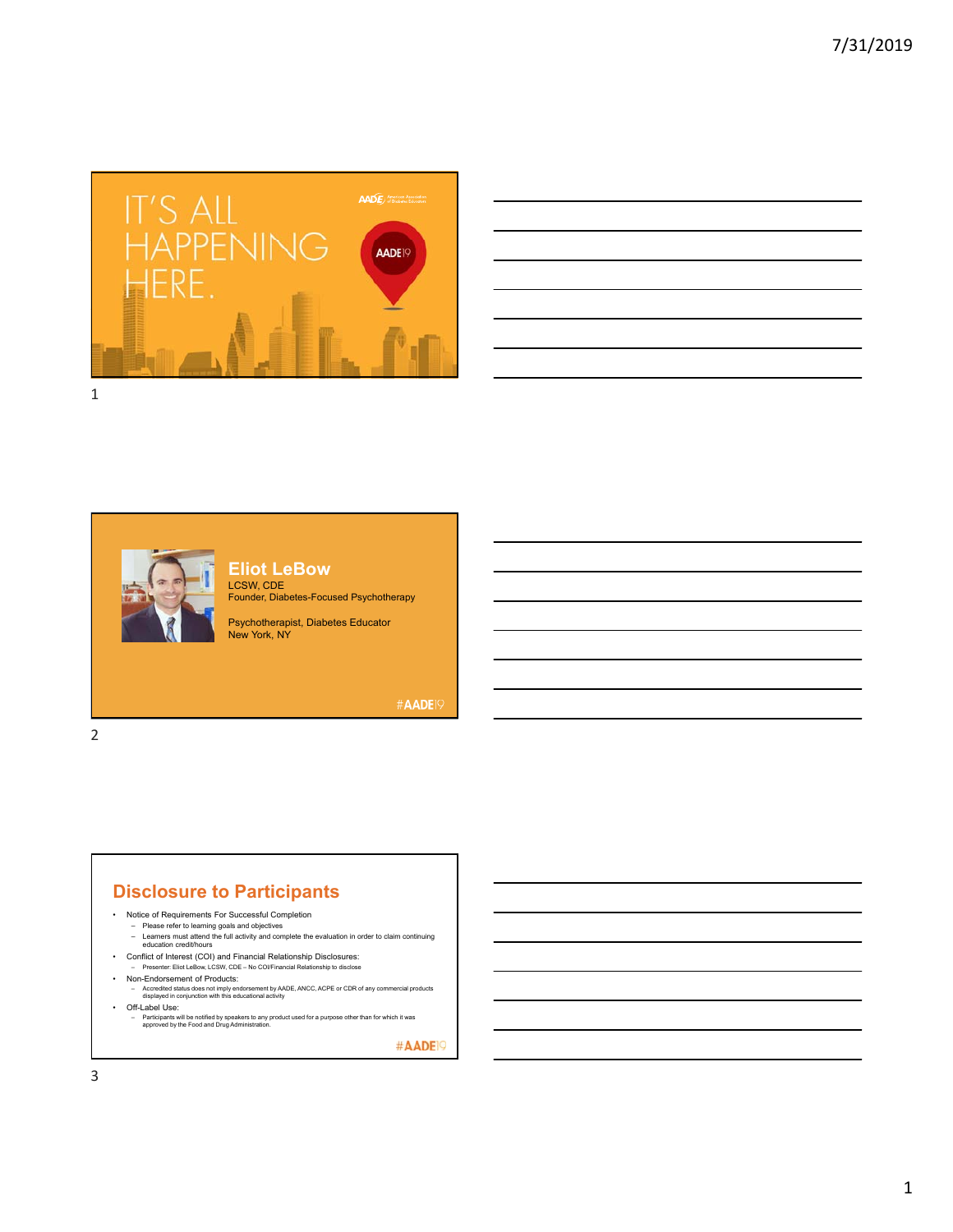

| <u> 1989 - Andrea Santa Andrea Andrea Andrea Andrea Andrea Andrea Andrea Andrea Andrea Andrea Andrea Andrea Andr</u>  |  |                               |
|-----------------------------------------------------------------------------------------------------------------------|--|-------------------------------|
| and the control of the control of the control of the control of the control of the control of the control of the      |  | the company of the company of |
| <u> 1989 - Andrea Santa Andrea Andrea Andrea Andrea Andrea Andrea Andrea Andrea Andrea Andrea Andrea Andrea Andr</u>  |  |                               |
| ,我们也不会有什么。""我们的人,我们也不会有什么?""我们的人,我们也不会有什么?""我们的人,我们也不会有什么?""我们的人,我们也不会有什么?""我们的人                                      |  |                               |
| <u> 1989 - Andrea Santa Andrea Andrea Andrea Andrea Andrea Andrea Andrea Andrea Andrea Andrea Andrea Andrea Andr</u>  |  | ____                          |
| <u> Listen de la construcción de la construcción de la construcción de la construcción de la construcción de la c</u> |  |                               |
|                                                                                                                       |  |                               |





**Eliot LeBow** LCSW, CDE Founder, Diabetes-Focused Psychotherapy

Psychotherapist, Diabetes Educator New York, NY

#AADE19

2

#### **Disclosure to Participants**

- Notice of Requirements For Successful Completion
	-
	- Please refer to learning goals and objectives Learners must attend the full activity and complete the evaluation in order to claim continuing education credit/hours
- Conflict of Interest (COI) and Financial Relationship Disclosures: – Presenter: Eliot LeBow, LCSW, CDE – No COI/Financial Relationship to disclose
	-
- Non-Endorsement of Products:
- Accredited status does not imply endorsement by AADE, ANCC, ACPE or CDR of any commercial products displayed in conjunction with this educational activity • Off-Label Use:
- Participants will be notified by speakers to any product used for a purpose other than for which it was approved by the Food and Drug Administration.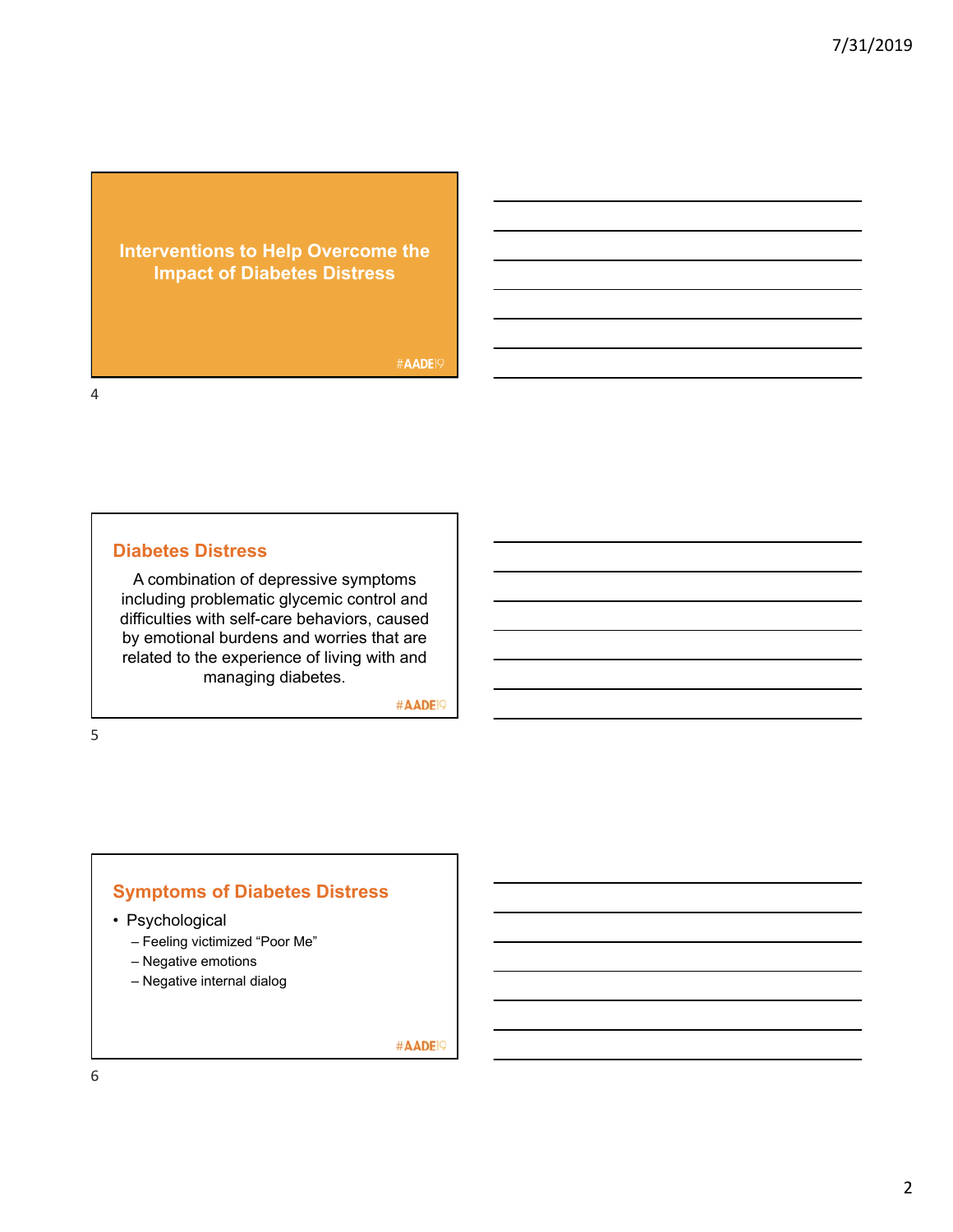## **Interventions to Help Overcome the Impact of Diabetes Distress**

#AADE19

4

#### **Diabetes Distress**

A combination of depressive symptoms including problematic glycemic control and difficulties with self-care behaviors, caused by emotional burdens and worries that are related to the experience of living with and managing diabetes.

#AADE<sup>19</sup>

5

## **Symptoms of Diabetes Distress**

- Psychological
	- Feeling victimized "Poor Me"
	- Negative emotions
	- Negative internal dialog

#AADE<sup>19</sup>

6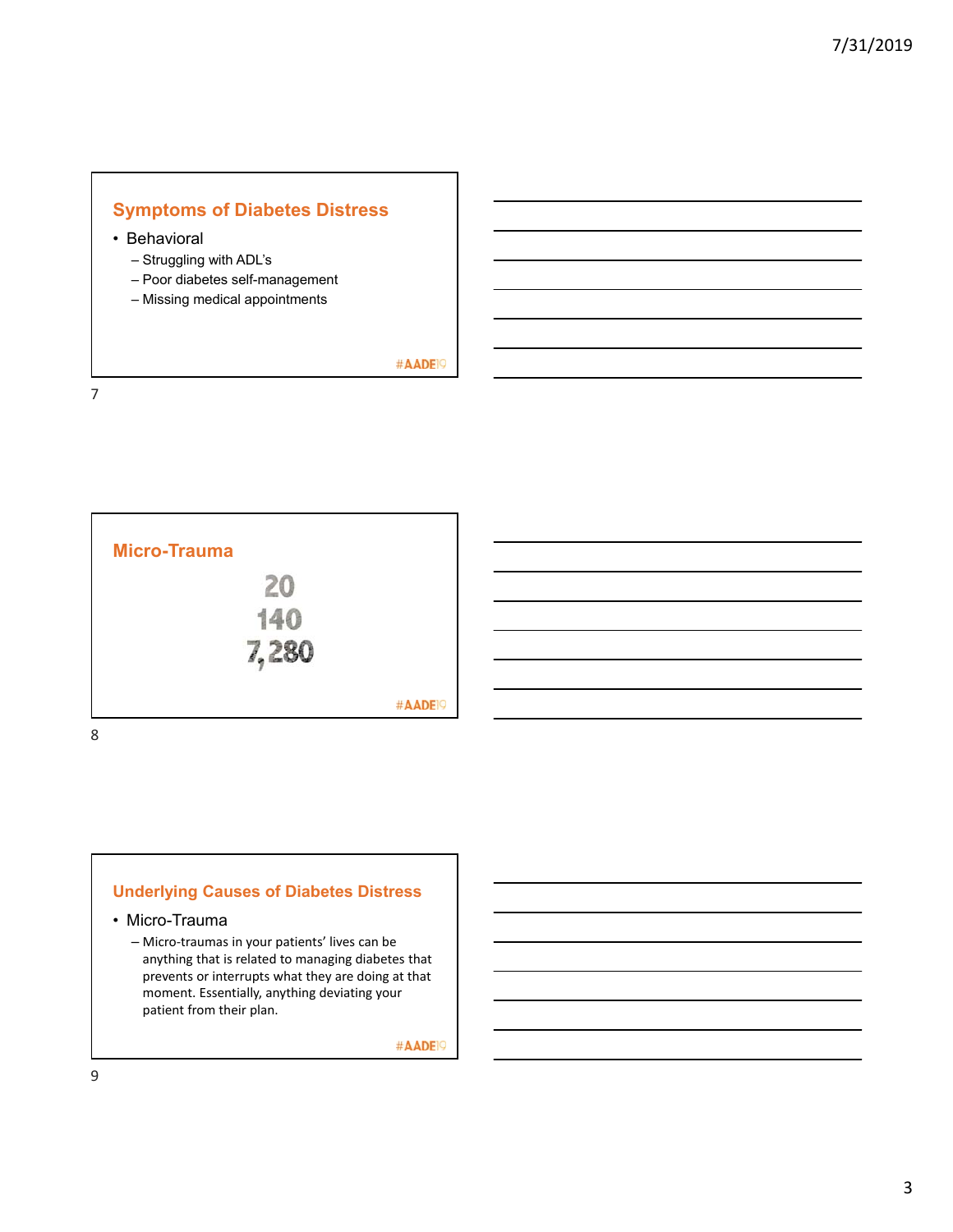

#AADE<sup>19</sup>

7



## **Underlying Causes of Diabetes Distress**

• Micro-Trauma

– Micro‐traumas in your patients' lives can be anything that is related to managing diabetes that prevents or interrupts what they are doing at that moment. Essentially, anything deviating your patient from their plan.

#AADE<sup>19</sup>

9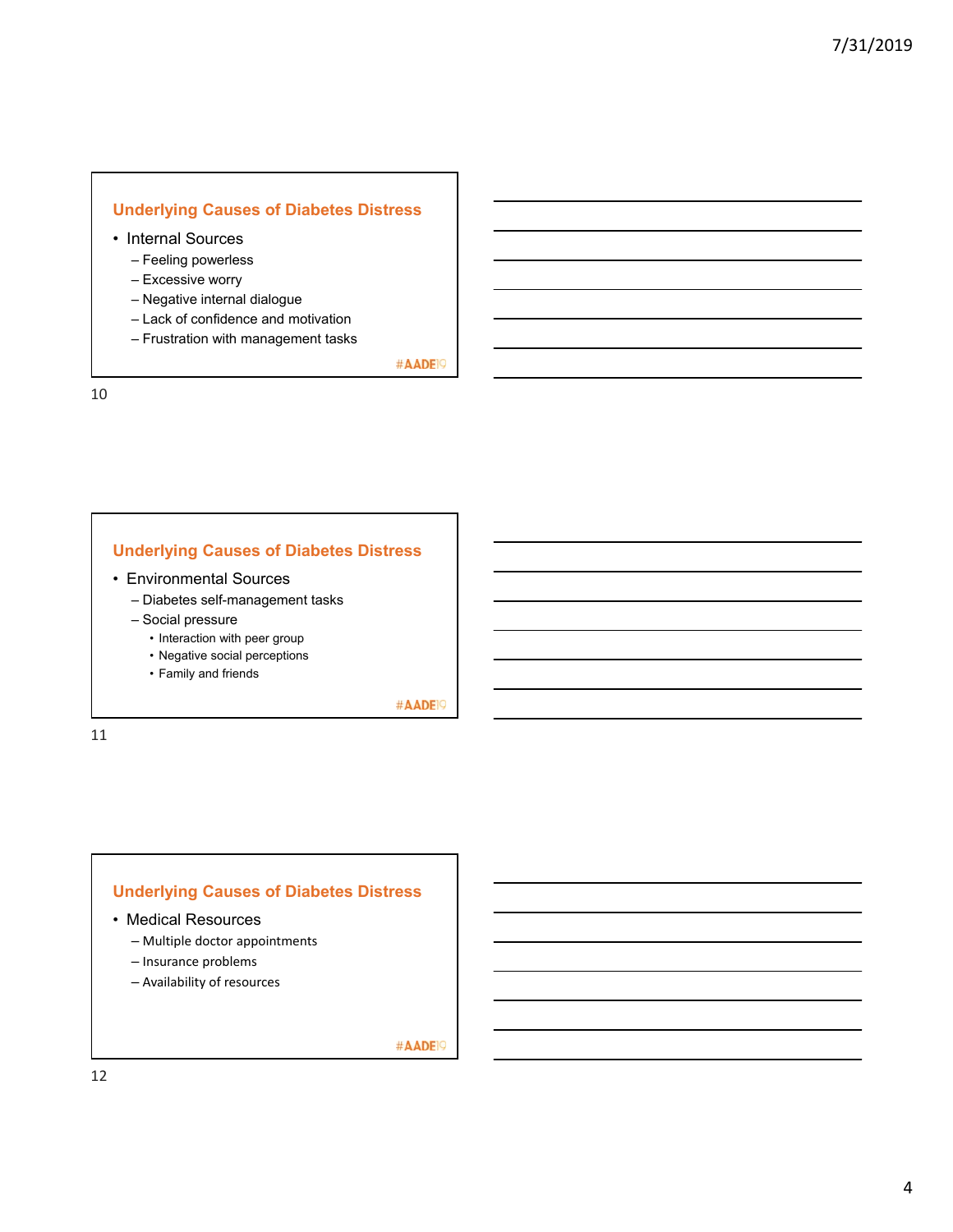#### **Underlying Causes of Diabetes Distress**

- Internal Sources
	- Feeling powerless
	- Excessive worry
	- Negative internal dialogue
	- Lack of confidence and motivation
	- Frustration with management tasks

#AADE<sup>19</sup>

10

#### **Underlying Causes of Diabetes Distress**

- Environmental Sources
	- Diabetes self-management tasks
	- Social pressure
		- Interaction with peer group
		- Negative social perceptions
		- Family and friends

#AADE<sup>19</sup>

11

#### **Underlying Causes of Diabetes Distress**

- Medical Resources
	- Multiple doctor appointments
	- Insurance problems
	- Availability of resources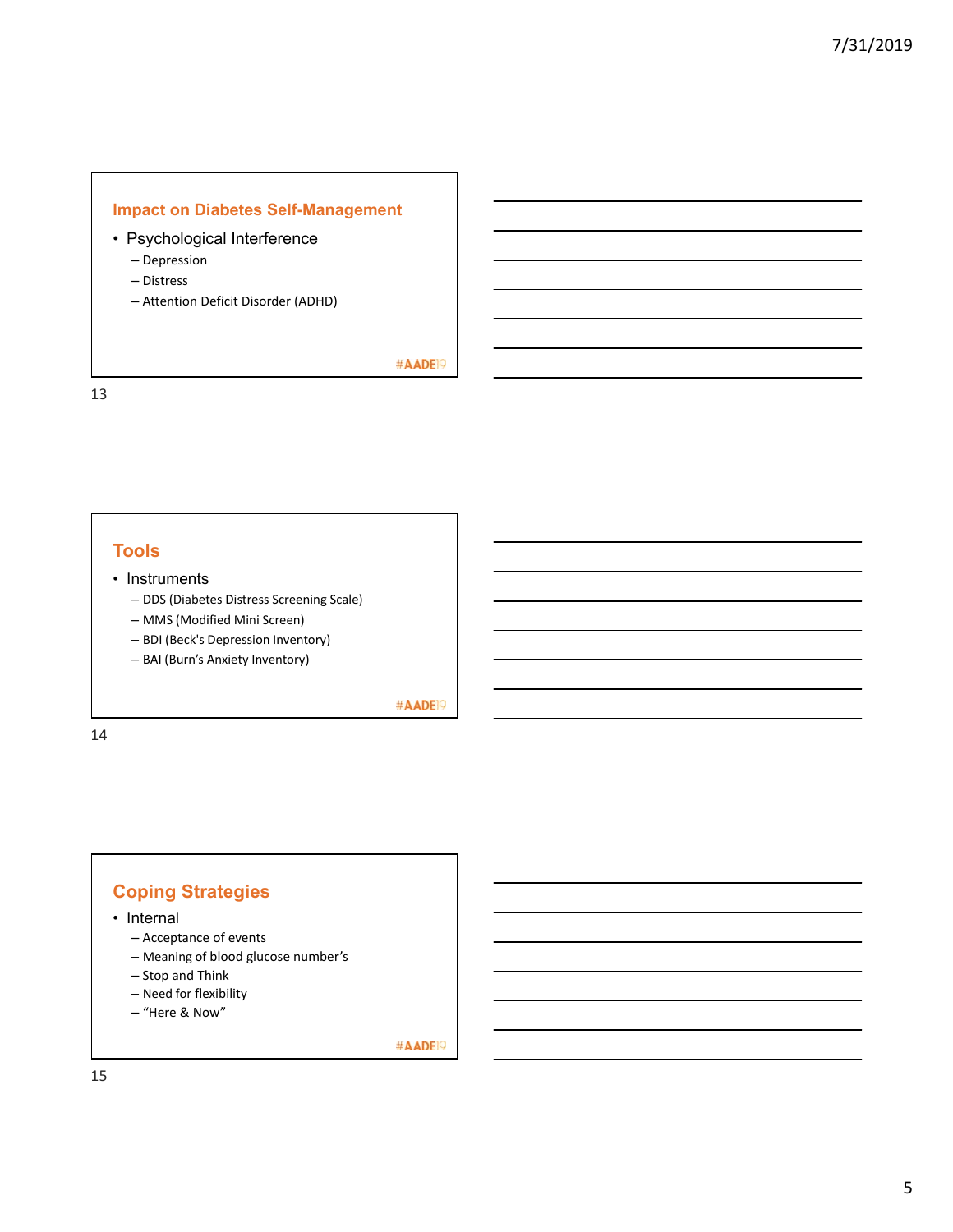#### **Impact on Diabetes Self-Management**

- Psychological Interference
	- Depression
	- Distress
	- Attention Deficit Disorder (ADHD)

#AADE<sup>19</sup>

13

### **Tools**

#### • Instruments

- DDS (Diabetes Distress Screening Scale)
- MMS (Modified Mini Screen)
- BDI (Beck's Depression Inventory)
- BAI (Burn's Anxiety Inventory)

#AADE<sup>19</sup>

14

# **Coping Strategies**

- Internal
	- Acceptance of events
	- Meaning of blood glucose number's
	- Stop and Think
	- Need for flexibility
	- "Here & Now"